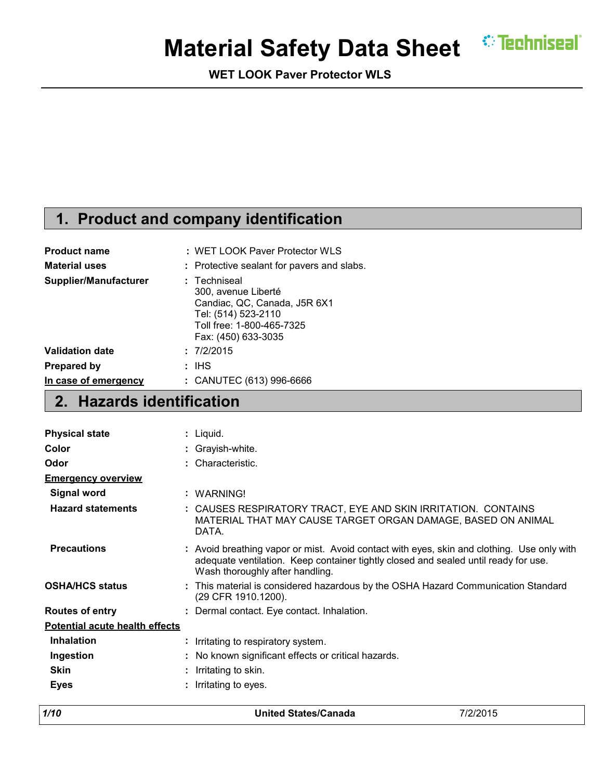# **Material Safety Data Sheet CEPE MEET IN STRAIN**

**WET LOOK Paver Protector WLS**

### **1. Product and company identification**

| <b>Product name</b>    | : WET LOOK Paver Protector WLS                                                                                                                 |
|------------------------|------------------------------------------------------------------------------------------------------------------------------------------------|
| <b>Material uses</b>   | : Protective sealant for pavers and slabs.                                                                                                     |
| Supplier/Manufacturer  | : Techniseal<br>300, avenue Liberté<br>Candiac, QC, Canada, J5R 6X1<br>Tel: (514) 523-2110<br>Toll free: 1-800-465-7325<br>Fax: (450) 633-3035 |
| <b>Validation date</b> | : 7/2/2015                                                                                                                                     |
| Prepared by            | : IHS                                                                                                                                          |
| In case of emergency   | : CANUTEC (613) 996-6666                                                                                                                       |

### **2. Hazards identification**

| <b>Physical state</b>                 | : Liquid.                                                                                                                                                                                                            |
|---------------------------------------|----------------------------------------------------------------------------------------------------------------------------------------------------------------------------------------------------------------------|
| Color                                 | : Grayish-white.                                                                                                                                                                                                     |
| Odor                                  | : Characteristic.                                                                                                                                                                                                    |
| <b>Emergency overview</b>             |                                                                                                                                                                                                                      |
| <b>Signal word</b>                    | : WARNING!                                                                                                                                                                                                           |
| <b>Hazard statements</b>              | : CAUSES RESPIRATORY TRACT, EYE AND SKIN IRRITATION. CONTAINS<br>MATERIAL THAT MAY CAUSE TARGET ORGAN DAMAGE, BASED ON ANIMAL<br>DATA.                                                                               |
| <b>Precautions</b>                    | : Avoid breathing vapor or mist. Avoid contact with eyes, skin and clothing. Use only with<br>adequate ventilation. Keep container tightly closed and sealed until ready for use.<br>Wash thoroughly after handling. |
| <b>OSHA/HCS status</b>                | : This material is considered hazardous by the OSHA Hazard Communication Standard<br>(29 CFR 1910.1200).                                                                                                             |
| <b>Routes of entry</b>                | : Dermal contact. Eye contact. Inhalation.                                                                                                                                                                           |
| <b>Potential acute health effects</b> |                                                                                                                                                                                                                      |
| <b>Inhalation</b>                     | : Irritating to respiratory system.                                                                                                                                                                                  |
| Ingestion                             | No known significant effects or critical hazards.                                                                                                                                                                    |
| <b>Skin</b>                           | Irritating to skin.                                                                                                                                                                                                  |
| <b>Eyes</b>                           | Irritating to eyes.                                                                                                                                                                                                  |

| 1/10 | <b>United States/Canada</b> | 7/2/2015 |
|------|-----------------------------|----------|
|      |                             |          |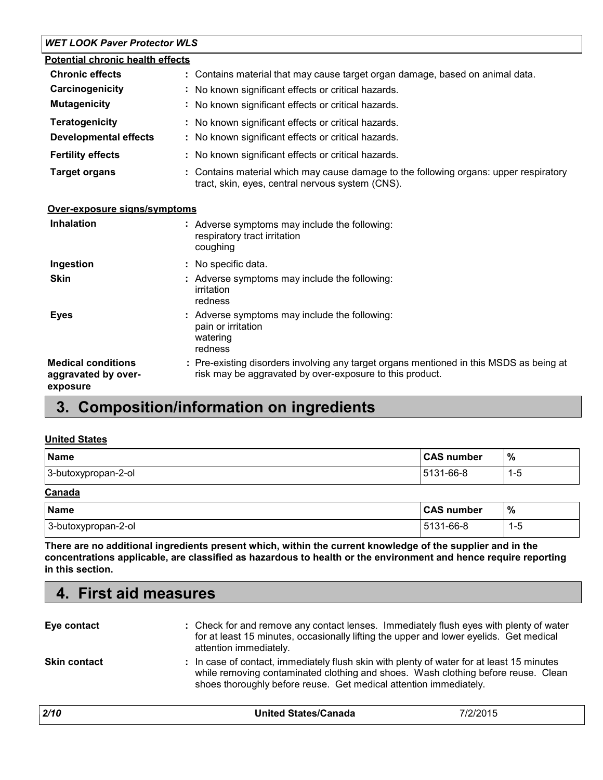#### *WET LOOK Paver Protector WLS*

| <b>Potential chronic health effects</b> |                                                                                                                                           |
|-----------------------------------------|-------------------------------------------------------------------------------------------------------------------------------------------|
| <b>Chronic effects</b>                  | : Contains material that may cause target organ damage, based on animal data.                                                             |
| Carcinogenicity                         | : No known significant effects or critical hazards.                                                                                       |
| <b>Mutagenicity</b>                     | : No known significant effects or critical hazards.                                                                                       |
| <b>Teratogenicity</b>                   | : No known significant effects or critical hazards.                                                                                       |
| <b>Developmental effects</b>            | : No known significant effects or critical hazards.                                                                                       |
| <b>Fertility effects</b>                | : No known significant effects or critical hazards.                                                                                       |
| <b>Target organs</b>                    | : Contains material which may cause damage to the following organs: upper respiratory<br>tract, skin, eyes, central nervous system (CNS). |

| <b>Inhalation</b>                                            | : Adverse symptoms may include the following:<br>respiratory tract irritation<br>coughing                                                           |
|--------------------------------------------------------------|-----------------------------------------------------------------------------------------------------------------------------------------------------|
| Ingestion                                                    | : No specific data.                                                                                                                                 |
| <b>Skin</b>                                                  | : Adverse symptoms may include the following:<br>irritation<br>redness                                                                              |
| <b>Eyes</b>                                                  | : Adverse symptoms may include the following:<br>pain or irritation<br>watering<br>redness                                                          |
| <b>Medical conditions</b><br>aggravated by over-<br>exposure | : Pre-existing disorders involving any target organs mentioned in this MSDS as being at<br>risk may be aggravated by over-exposure to this product. |

### **3. Composition/information on ingredients**

#### **United States**

**4. First aid measures**

| <b>Name</b>         | <b>CAS number</b> | $\%$    |
|---------------------|-------------------|---------|
| 3-butoxypropan-2-ol | $ 5131 - 66 - 8 $ | $1 - 5$ |
| Canada              |                   |         |

| <b>Name</b>         | <b>CAS number</b> | %        |
|---------------------|-------------------|----------|
| 3-butoxypropan-2-ol | 5131-66-8         | . .<br>ب |

**There are no additional ingredients present which, within the current knowledge of the supplier and in the concentrations applicable, are classified as hazardous to health or the environment and hence require reporting in this section.**

| Eye contact         | : Check for and remove any contact lenses. Immediately flush eyes with plenty of water<br>for at least 15 minutes, occasionally lifting the upper and lower eyelids. Get medical<br>attention immediately.                                          |
|---------------------|-----------------------------------------------------------------------------------------------------------------------------------------------------------------------------------------------------------------------------------------------------|
| <b>Skin contact</b> | : In case of contact, immediately flush skin with plenty of water for at least 15 minutes<br>while removing contaminated clothing and shoes. Wash clothing before reuse. Clean<br>shoes thoroughly before reuse. Get medical attention immediately. |

| 2/10 | <b>United States/Canada</b> | 7/2/2015 |
|------|-----------------------------|----------|
|      |                             |          |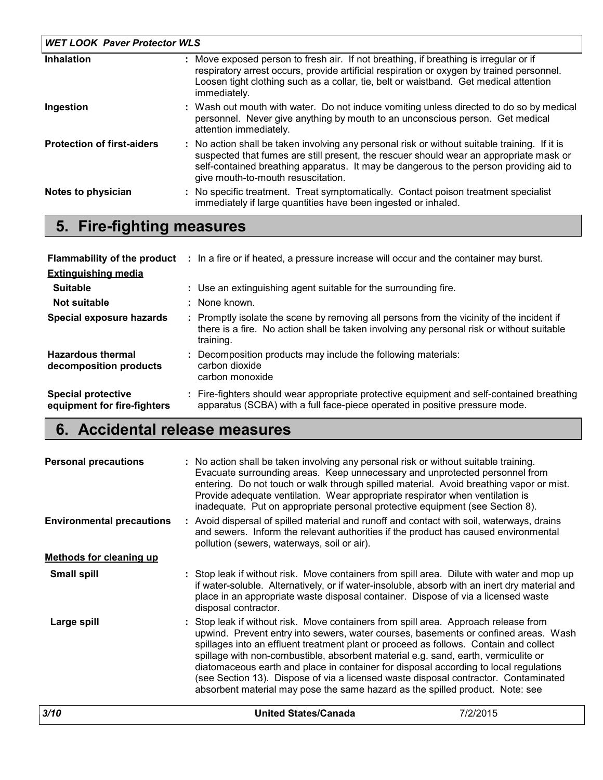| <b>WET LOOK Paver Protector WLS</b> |                                                                                                                                                                                                                                                                                                                         |  |  |
|-------------------------------------|-------------------------------------------------------------------------------------------------------------------------------------------------------------------------------------------------------------------------------------------------------------------------------------------------------------------------|--|--|
| Inhalation                          | : Move exposed person to fresh air. If not breathing, if breathing is irregular or if<br>respiratory arrest occurs, provide artificial respiration or oxygen by trained personnel.<br>Loosen tight clothing such as a collar, tie, belt or waistband. Get medical attention<br>immediately.                             |  |  |
| Ingestion                           | : Wash out mouth with water. Do not induce vomiting unless directed to do so by medical<br>personnel. Never give anything by mouth to an unconscious person. Get medical<br>attention immediately.                                                                                                                      |  |  |
| <b>Protection of first-aiders</b>   | : No action shall be taken involving any personal risk or without suitable training. If it is<br>suspected that fumes are still present, the rescuer should wear an appropriate mask or<br>self-contained breathing apparatus. It may be dangerous to the person providing aid to<br>give mouth-to-mouth resuscitation. |  |  |
| Notes to physician                  | : No specific treatment. Treat symptomatically. Contact poison treatment specialist<br>immediately if large quantities have been ingested or inhaled.                                                                                                                                                                   |  |  |

### **5. Fire-fighting measures**

|                                                          | <b>Flammability of the product</b> : In a fire or if heated, a pressure increase will occur and the container may burst.                                                                            |
|----------------------------------------------------------|-----------------------------------------------------------------------------------------------------------------------------------------------------------------------------------------------------|
| <b>Extinguishing media</b>                               |                                                                                                                                                                                                     |
| <b>Suitable</b>                                          | : Use an extinguishing agent suitable for the surrounding fire.                                                                                                                                     |
| Not suitable                                             | : None known.                                                                                                                                                                                       |
| Special exposure hazards                                 | : Promptly isolate the scene by removing all persons from the vicinity of the incident if<br>there is a fire. No action shall be taken involving any personal risk or without suitable<br>training. |
| <b>Hazardous thermal</b><br>decomposition products       | Decomposition products may include the following materials:<br>carbon dioxide<br>carbon monoxide                                                                                                    |
| <b>Special protective</b><br>equipment for fire-fighters | : Fire-fighters should wear appropriate protective equipment and self-contained breathing<br>apparatus (SCBA) with a full face-piece operated in positive pressure mode.                            |

### **6. Accidental release measures**

| 3/10                                                                                                                                                                                                                                                                                                                                                                                                                                                                                                                                                                                                                                      |  | <b>United States/Canada</b>                                                                                                                                                                                                                                                                                                                                                                                                                                                                                                                                                                                                                                         | 7/2/2015 |
|-------------------------------------------------------------------------------------------------------------------------------------------------------------------------------------------------------------------------------------------------------------------------------------------------------------------------------------------------------------------------------------------------------------------------------------------------------------------------------------------------------------------------------------------------------------------------------------------------------------------------------------------|--|---------------------------------------------------------------------------------------------------------------------------------------------------------------------------------------------------------------------------------------------------------------------------------------------------------------------------------------------------------------------------------------------------------------------------------------------------------------------------------------------------------------------------------------------------------------------------------------------------------------------------------------------------------------------|----------|
| : Stop leak if without risk. Move containers from spill area. Approach release from<br>Large spill<br>upwind. Prevent entry into sewers, water courses, basements or confined areas. Wash<br>spillages into an effluent treatment plant or proceed as follows. Contain and collect<br>spillage with non-combustible, absorbent material e.g. sand, earth, vermiculite or<br>diatomaceous earth and place in container for disposal according to local regulations<br>(see Section 13). Dispose of via a licensed waste disposal contractor. Contaminated<br>absorbent material may pose the same hazard as the spilled product. Note: see |  |                                                                                                                                                                                                                                                                                                                                                                                                                                                                                                                                                                                                                                                                     |          |
| <b>Small spill</b>                                                                                                                                                                                                                                                                                                                                                                                                                                                                                                                                                                                                                        |  | : Stop leak if without risk. Move containers from spill area. Dilute with water and mop up<br>if water-soluble. Alternatively, or if water-insoluble, absorb with an inert dry material and<br>place in an appropriate waste disposal container. Dispose of via a licensed waste<br>disposal contractor.                                                                                                                                                                                                                                                                                                                                                            |          |
| <b>Methods for cleaning up</b>                                                                                                                                                                                                                                                                                                                                                                                                                                                                                                                                                                                                            |  |                                                                                                                                                                                                                                                                                                                                                                                                                                                                                                                                                                                                                                                                     |          |
| <b>Personal precautions</b><br><b>Environmental precautions</b>                                                                                                                                                                                                                                                                                                                                                                                                                                                                                                                                                                           |  | : No action shall be taken involving any personal risk or without suitable training.<br>Evacuate surrounding areas. Keep unnecessary and unprotected personnel from<br>entering. Do not touch or walk through spilled material. Avoid breathing vapor or mist.<br>Provide adequate ventilation. Wear appropriate respirator when ventilation is<br>inadequate. Put on appropriate personal protective equipment (see Section 8).<br>: Avoid dispersal of spilled material and runoff and contact with soil, waterways, drains<br>and sewers. Inform the relevant authorities if the product has caused environmental<br>pollution (sewers, waterways, soil or air). |          |
|                                                                                                                                                                                                                                                                                                                                                                                                                                                                                                                                                                                                                                           |  |                                                                                                                                                                                                                                                                                                                                                                                                                                                                                                                                                                                                                                                                     |          |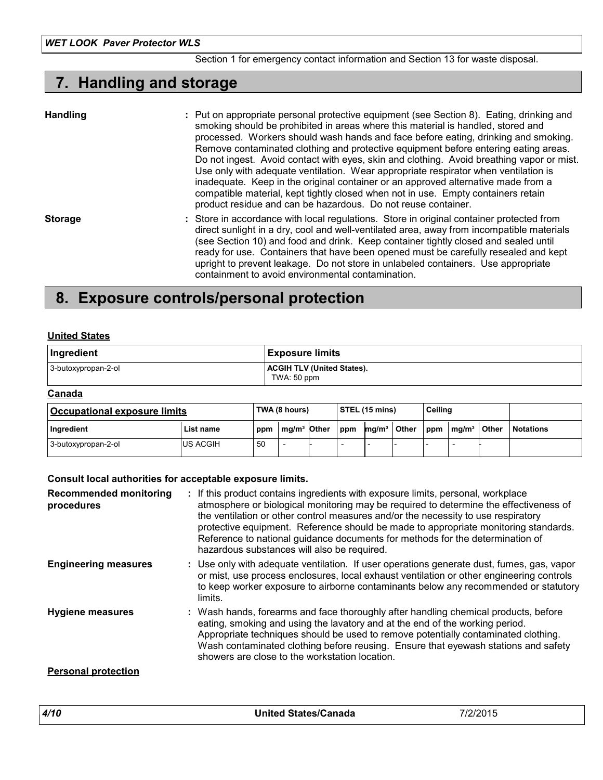#### Section 1 for emergency contact information and Section 13 for waste disposal.

### **7. Handling and storage**

| <b>Handling</b> | : Put on appropriate personal protective equipment (see Section 8). Eating, drinking and<br>smoking should be prohibited in areas where this material is handled, stored and<br>processed. Workers should wash hands and face before eating, drinking and smoking.<br>Remove contaminated clothing and protective equipment before entering eating areas.<br>Do not ingest. Avoid contact with eyes, skin and clothing. Avoid breathing vapor or mist.<br>Use only with adequate ventilation. Wear appropriate respirator when ventilation is<br>inadequate. Keep in the original container or an approved alternative made from a<br>compatible material, kept tightly closed when not in use. Empty containers retain<br>product residue and can be hazardous. Do not reuse container. |
|-----------------|------------------------------------------------------------------------------------------------------------------------------------------------------------------------------------------------------------------------------------------------------------------------------------------------------------------------------------------------------------------------------------------------------------------------------------------------------------------------------------------------------------------------------------------------------------------------------------------------------------------------------------------------------------------------------------------------------------------------------------------------------------------------------------------|
| <b>Storage</b>  | : Store in accordance with local regulations. Store in original container protected from<br>direct sunlight in a dry, cool and well-ventilated area, away from incompatible materials<br>(see Section 10) and food and drink. Keep container tightly closed and sealed until<br>ready for use. Containers that have been opened must be carefully resealed and kept<br>upright to prevent leakage. Do not store in unlabeled containers. Use appropriate<br>containment to avoid environmental contamination.                                                                                                                                                                                                                                                                            |

### **8. Exposure controls/personal protection**

#### **United States**

| Ingredient          | <b>Exposure limits</b>                           |
|---------------------|--------------------------------------------------|
| 3-butoxypropan-2-ol | <b>ACGIH TLV (United States).</b><br>TWA: 50 ppm |

#### **Canada**

| <b>Occupational exposure limits</b> |                 |     | TWA (8 hours) | Ceiling<br>$\vert$ STEL (15 mins) |                   |              |     |                                      |              |                  |
|-------------------------------------|-----------------|-----|---------------|-----------------------------------|-------------------|--------------|-----|--------------------------------------|--------------|------------------|
| Ingredient                          | List name       | ppm | $mq/m3$ Other | ppm                               | mq/m <sup>3</sup> | <b>Other</b> | ppm | $\mathsf{Im}\mathsf{a}/\mathsf{m}^3$ | <b>Other</b> | <b>Notations</b> |
| 3-butoxypropan-2-ol                 | <b>US ACGIH</b> | 50  |               |                                   |                   |              |     |                                      |              |                  |

#### **Consult local authorities for acceptable exposure limits.**

| <b>Recommended monitoring</b><br>procedures | If this product contains ingredients with exposure limits, personal, workplace<br>atmosphere or biological monitoring may be required to determine the effectiveness of<br>the ventilation or other control measures and/or the necessity to use respiratory<br>protective equipment. Reference should be made to appropriate monitoring standards.<br>Reference to national guidance documents for methods for the determination of<br>hazardous substances will also be required. |
|---------------------------------------------|-------------------------------------------------------------------------------------------------------------------------------------------------------------------------------------------------------------------------------------------------------------------------------------------------------------------------------------------------------------------------------------------------------------------------------------------------------------------------------------|
| <b>Engineering measures</b>                 | : Use only with adequate ventilation. If user operations generate dust, fumes, gas, vapor<br>or mist, use process enclosures, local exhaust ventilation or other engineering controls<br>to keep worker exposure to airborne contaminants below any recommended or statutory<br>limits.                                                                                                                                                                                             |
| <b>Hygiene measures</b>                     | : Wash hands, forearms and face thoroughly after handling chemical products, before<br>eating, smoking and using the lavatory and at the end of the working period.<br>Appropriate techniques should be used to remove potentially contaminated clothing.<br>Wash contaminated clothing before reusing. Ensure that eyewash stations and safety<br>showers are close to the workstation location.                                                                                   |
| <b>Personal protection</b>                  |                                                                                                                                                                                                                                                                                                                                                                                                                                                                                     |

| 4/10 | <b>United States/Canada</b> | 7/2/2015 |
|------|-----------------------------|----------|
|      |                             |          |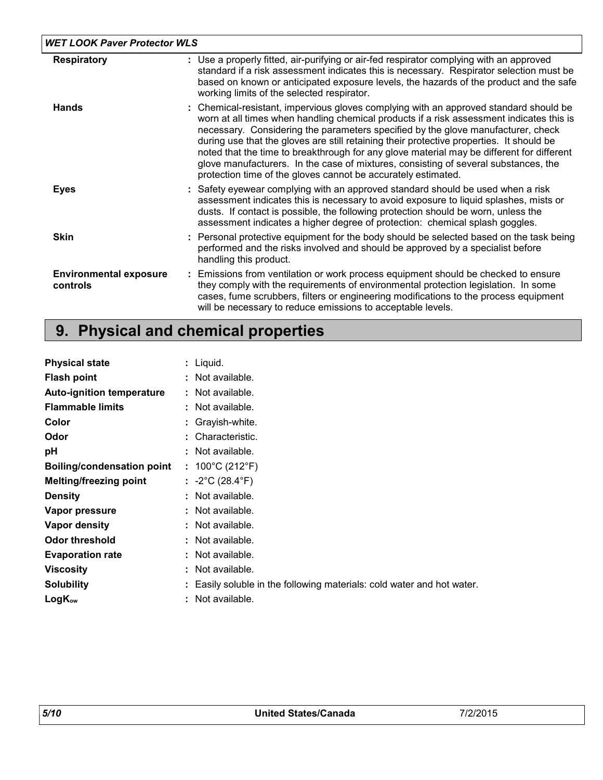| <b>WET LOOK Paver Protector WLS</b>       |                                                                                                                                                                                                                                                                                                                                                                                                                                                                                                                                                                                                                        |
|-------------------------------------------|------------------------------------------------------------------------------------------------------------------------------------------------------------------------------------------------------------------------------------------------------------------------------------------------------------------------------------------------------------------------------------------------------------------------------------------------------------------------------------------------------------------------------------------------------------------------------------------------------------------------|
| <b>Respiratory</b>                        | : Use a properly fitted, air-purifying or air-fed respirator complying with an approved<br>standard if a risk assessment indicates this is necessary. Respirator selection must be<br>based on known or anticipated exposure levels, the hazards of the product and the safe<br>working limits of the selected respirator.                                                                                                                                                                                                                                                                                             |
| <b>Hands</b>                              | : Chemical-resistant, impervious gloves complying with an approved standard should be<br>worn at all times when handling chemical products if a risk assessment indicates this is<br>necessary. Considering the parameters specified by the glove manufacturer, check<br>during use that the gloves are still retaining their protective properties. It should be<br>noted that the time to breakthrough for any glove material may be different for different<br>glove manufacturers. In the case of mixtures, consisting of several substances, the<br>protection time of the gloves cannot be accurately estimated. |
| <b>Eyes</b>                               | : Safety eyewear complying with an approved standard should be used when a risk<br>assessment indicates this is necessary to avoid exposure to liquid splashes, mists or<br>dusts. If contact is possible, the following protection should be worn, unless the<br>assessment indicates a higher degree of protection: chemical splash goggles.                                                                                                                                                                                                                                                                         |
| <b>Skin</b>                               | : Personal protective equipment for the body should be selected based on the task being<br>performed and the risks involved and should be approved by a specialist before<br>handling this product.                                                                                                                                                                                                                                                                                                                                                                                                                    |
| <b>Environmental exposure</b><br>controls | : Emissions from ventilation or work process equipment should be checked to ensure<br>they comply with the requirements of environmental protection legislation. In some<br>cases, fume scrubbers, filters or engineering modifications to the process equipment<br>will be necessary to reduce emissions to acceptable levels.                                                                                                                                                                                                                                                                                        |

## **9. Physical and chemical properties**

| <b>Physical state</b>             |   | : Liquid.                                                              |
|-----------------------------------|---|------------------------------------------------------------------------|
| <b>Flash point</b>                |   | : Not available.                                                       |
| <b>Auto-ignition temperature</b>  |   | : Not available.                                                       |
| <b>Flammable limits</b>           |   | : Not available.                                                       |
| Color                             |   | : Grayish-white.                                                       |
| Odor                              |   | : Characteristic.                                                      |
| рH                                |   | : Not available.                                                       |
| <b>Boiling/condensation point</b> |   | : $100^{\circ}$ C (212 $^{\circ}$ F)                                   |
| <b>Melting/freezing point</b>     |   | : $-2^{\circ}$ C (28.4 $^{\circ}$ F)                                   |
| <b>Density</b>                    |   | : Not available.                                                       |
| Vapor pressure                    |   | : Not available.                                                       |
| Vapor density                     |   | : Not available.                                                       |
| <b>Odor threshold</b>             |   | : Not available.                                                       |
| <b>Evaporation rate</b>           |   | : Not available.                                                       |
| <b>Viscosity</b>                  |   | : Not available.                                                       |
| <b>Solubility</b>                 |   | : Easily soluble in the following materials: cold water and hot water. |
| $LogK_{ow}$                       | ÷ | Not available.                                                         |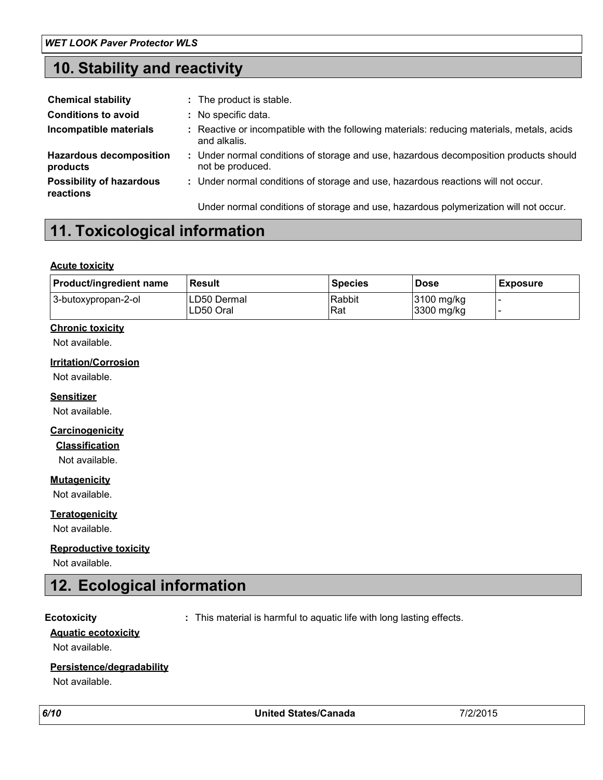### **10. Stability and reactivity**

| <b>Chemical stability</b>                    | : The product is stable.                                                                                   |  |
|----------------------------------------------|------------------------------------------------------------------------------------------------------------|--|
| <b>Conditions to avoid</b>                   | : No specific data.                                                                                        |  |
| Incompatible materials                       | : Reactive or incompatible with the following materials: reducing materials, metals, acids<br>and alkalis. |  |
| <b>Hazardous decomposition</b><br>products   | : Under normal conditions of storage and use, hazardous decomposition products should<br>not be produced.  |  |
| <b>Possibility of hazardous</b><br>reactions | : Under normal conditions of storage and use, hazardous reactions will not occur.                          |  |
|                                              | Under normal conditions of storage and use, hazardous polymerization will not occur.                       |  |

### **11. Toxicological information**

#### **Acute toxicity**

| <b>Product/ingredient name</b> | <b>Result</b>            | <b>Species</b> | <b>Dose</b>              | <b>Exposure</b> |
|--------------------------------|--------------------------|----------------|--------------------------|-----------------|
| 3-butoxypropan-2-ol            | LD50 Dermal<br>LD50 Oral | Rabbit<br>Rat  | 3100 mg/kg<br>3300 mg/kg |                 |

#### **Chronic toxicity**

Not available.

#### **Irritation/Corrosion**

Not available.

#### **Sensitizer**

Not available.

#### **Carcinogenicity**

**Classification**

Not available.

#### **Mutagenicity**

Not available.

#### **Teratogenicity**

Not available.

#### **Reproductive toxicity**

Not available.

### **12. Ecological information**

**Ecotoxicity :** This material is harmful to aquatic life with long lasting effects.

### **Aquatic ecotoxicity**

Not available.

#### **Persistence/degradability**

Not available.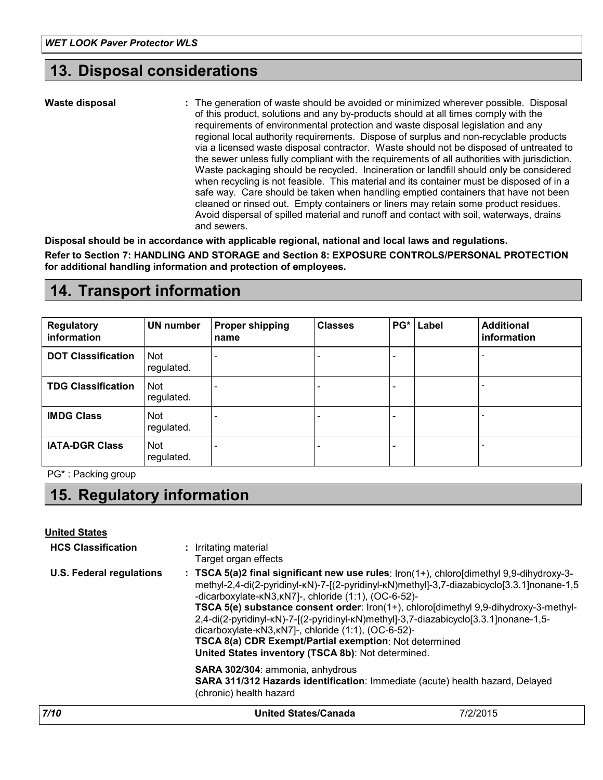### **13. Disposal considerations**

**Waste disposal**

The generation of waste should be avoided or minimized wherever possible. Disposal **:** of this product, solutions and any by-products should at all times comply with the requirements of environmental protection and waste disposal legislation and any regional local authority requirements. Dispose of surplus and non-recyclable products via a licensed waste disposal contractor. Waste should not be disposed of untreated to the sewer unless fully compliant with the requirements of all authorities with jurisdiction. Waste packaging should be recycled. Incineration or landfill should only be considered when recycling is not feasible. This material and its container must be disposed of in a safe way. Care should be taken when handling emptied containers that have not been cleaned or rinsed out. Empty containers or liners may retain some product residues. Avoid dispersal of spilled material and runoff and contact with soil, waterways, drains and sewers.

**Disposal should be in accordance with applicable regional, national and local laws and regulations. Refer to Section 7: HANDLING AND STORAGE and Section 8: EXPOSURE CONTROLS/PERSONAL PROTECTION for additional handling information and protection of employees.**

### **14. Transport information**

| <b>Regulatory</b><br><b>information</b> | UN number         | <b>Proper shipping</b><br>name | <b>Classes</b> |   | <b>PG*</b> Label | <b>Additional</b><br>information |
|-----------------------------------------|-------------------|--------------------------------|----------------|---|------------------|----------------------------------|
| <b>DOT Classification</b>               | Not<br>regulated. |                                |                | - |                  |                                  |
| <b>TDG Classification</b>               | Not<br>regulated. |                                |                | - |                  |                                  |
| <b>IMDG Class</b>                       | Not<br>regulated. |                                |                | - |                  |                                  |
| <b>IATA-DGR Class</b>                   | Not<br>regulated. |                                |                | - |                  |                                  |

PG\* : Packing group

### **15. Regulatory information**

**United States**

| 7/10                            | <b>United States/Canada</b>                                                                                                                                                                                                                                                                                                                                                                                                                                                                                                                                                                                                               | 7/2/2015 |
|---------------------------------|-------------------------------------------------------------------------------------------------------------------------------------------------------------------------------------------------------------------------------------------------------------------------------------------------------------------------------------------------------------------------------------------------------------------------------------------------------------------------------------------------------------------------------------------------------------------------------------------------------------------------------------------|----------|
|                                 | <b>SARA 302/304: ammonia, anhydrous</b><br>SARA 311/312 Hazards identification: Immediate (acute) health hazard, Delayed<br>(chronic) health hazard                                                                                                                                                                                                                                                                                                                                                                                                                                                                                       |          |
| <b>U.S. Federal regulations</b> | Target organ effects<br>: TSCA 5(a)2 final significant new use rules: $\text{iron}(1+)$ , chloroldimethyl 9,9-dihydroxy-3-<br>methyl-2,4-di(2-pyridinyl-kN)-7-[(2-pyridinyl-kN)methyl]-3,7-diazabicyclo[3.3.1]nonane-1,5<br>-dicarboxylate-kN3, kN7]-, chloride (1:1), (OC-6-52)-<br>TSCA 5(e) substance consent order: Iron(1+), chloro[dimethyl 9,9-dihydroxy-3-methyl-<br>2,4-di(2-pyridinyl-kN)-7-[(2-pyridinyl-kN)methyl]-3,7-diazabicyclo[3.3.1]nonane-1,5-<br>dicarboxylate-kN3, kN7]-, chloride (1:1), (OC-6-52)-<br>TSCA 8(a) CDR Exempt/Partial exemption: Not determined<br>United States inventory (TSCA 8b): Not determined. |          |
| <b>HCS Classification</b>       | : Irritating material                                                                                                                                                                                                                                                                                                                                                                                                                                                                                                                                                                                                                     |          |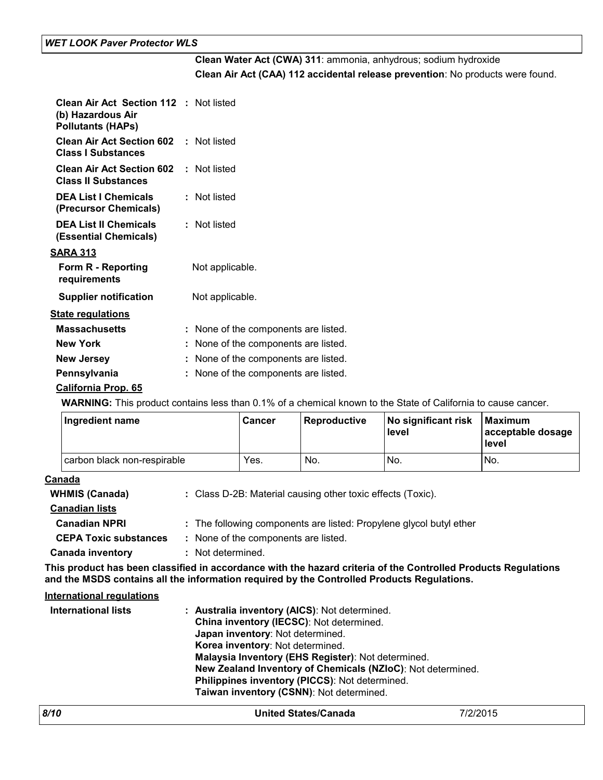#### *WET LOOK Paver Protector WLS*

### **Clean Water Act (CWA) 311**: ammonia, anhydrous; sodium hydroxide **Clean Air Act (CAA) 112 accidental release prevention**: No products were found.

| <b>Clean Air Act Section 112 : Not listed</b><br>(b) Hazardous Air<br><b>Pollutants (HAPs)</b> |                                      |
|------------------------------------------------------------------------------------------------|--------------------------------------|
| <b>Clean Air Act Section 602 : Not listed</b><br><b>Class I Substances</b>                     |                                      |
| <b>Clean Air Act Section 602 : Not listed</b><br><b>Class II Substances</b>                    |                                      |
| <b>DEA List I Chemicals</b><br>(Precursor Chemicals)                                           | : Not listed                         |
| <b>DEA List II Chemicals</b><br>(Essential Chemicals)                                          | : Not listed                         |
| <u>SARA 313</u>                                                                                |                                      |
| Form R - Reporting<br>requirements                                                             | Not applicable.                      |
| <b>Supplier notification</b>                                                                   | Not applicable.                      |
| <b>State regulations</b>                                                                       |                                      |
| <b>Massachusetts</b>                                                                           | : None of the components are listed. |
| <b>New York</b>                                                                                | : None of the components are listed. |
| <b>New Jersey</b>                                                                              | : None of the components are listed. |
| Pennsylvania                                                                                   | : None of the components are listed. |
| <b>California Prop. 65</b>                                                                     |                                      |

**WARNING:** This product contains less than 0.1% of a chemical known to the State of California to cause cancer.

| Ingredient name             | <b>Cancer</b> | l Reproductive | No significant risk<br>level | l Maximum<br>acceptable dosage<br>level |
|-----------------------------|---------------|----------------|------------------------------|-----------------------------------------|
| carbon black non-respirable | Yes.          | No.            | No.                          | No.                                     |

#### **Canada**

| <b>WHMIS (Canada)</b>        | : Class D-2B: Material causing other toxic effects (Toxic).                                                       |
|------------------------------|-------------------------------------------------------------------------------------------------------------------|
| <b>Canadian lists</b>        |                                                                                                                   |
| <b>Canadian NPRI</b>         | : The following components are listed: Propylene glycol butyl ether                                               |
| <b>CEPA Toxic substances</b> | : None of the components are listed.                                                                              |
| <b>Canada inventory</b>      | : Not determined.                                                                                                 |
|                              | Fhio nno deal hao hann aleaeilteal in ceannainn an cithetha hannad antinis af tha Anntualled Buadente Banelationa |

**This product has been classified in accordance with the hazard criteria of the Controlled Products Regulations and the MSDS contains all the information required by the Controlled Products Regulations.**

#### **International regulations**

| International lists | : Australia inventory (AICS): Not determined.               |
|---------------------|-------------------------------------------------------------|
|                     | China inventory (IECSC): Not determined.                    |
|                     | Japan inventory: Not determined.                            |
|                     | Korea inventory: Not determined.                            |
|                     | Malaysia Inventory (EHS Register): Not determined.          |
|                     | New Zealand Inventory of Chemicals (NZIoC): Not determined. |
|                     | Philippines inventory (PICCS): Not determined.              |
|                     | Taiwan inventory (CSNN): Not determined.                    |

| 8/10 | <b>United States/Canada</b> | 7/2/2015 |
|------|-----------------------------|----------|
|      |                             |          |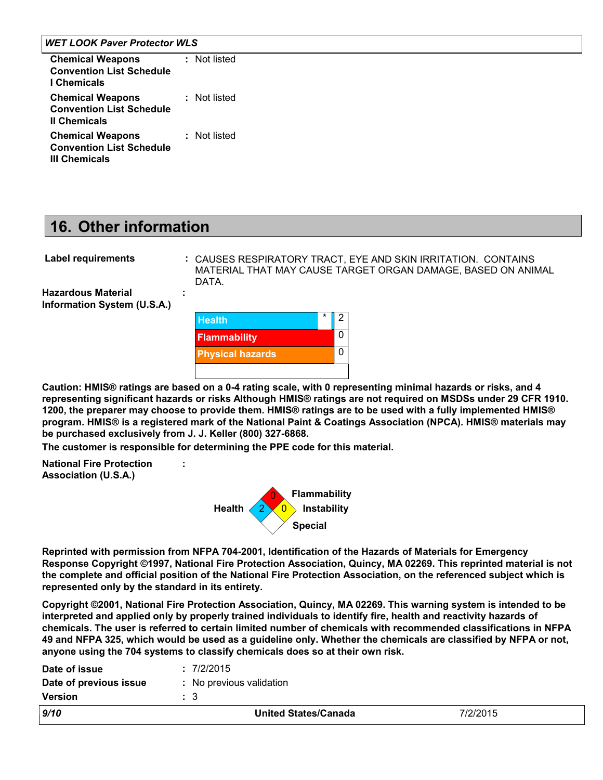#### *WET LOOK Paver Protector WLS*

| <b>Chemical Weapons</b><br><b>Convention List Schedule</b><br>I Chemicals          | : Not listed |
|------------------------------------------------------------------------------------|--------------|
| <b>Chemical Weapons</b><br><b>Convention List Schedule</b><br><b>II Chemicals</b>  | : Not listed |
| <b>Chemical Weapons</b><br><b>Convention List Schedule</b><br><b>III Chemicals</b> | : Not listed |

### **16. Other information**

| : CAUSI     |
|-------------|
| <b>MATE</b> |
|             |

**:**

ES RESPIRATORY TRACT, EYE AND SKIN IRRITATION. CONTAINS RIAL THAT MAY CAUSE TARGET ORGAN DAMAGE, BASED ON ANIMAL DATA.

**Hazardous Material Information System (U.S.A.)**



**Caution: HMIS® ratings are based on a 0-4 rating scale, with 0 representing minimal hazards or risks, and 4 representing significant hazards or risks Although HMIS® ratings are not required on MSDSs under 29 CFR 1910. 1200, the preparer may choose to provide them. HMIS® ratings are to be used with a fully implemented HMIS® program. HMIS® is a registered mark of the National Paint & Coatings Association (NPCA). HMIS® materials may be purchased exclusively from J. J. Keller (800) 327-6868.**

**The customer is responsible for determining the PPE code for this material.**

**:**

**National Fire Protection Association (U.S.A.)**



**Reprinted with permission from NFPA 704-2001, Identification of the Hazards of Materials for Emergency Response Copyright ©1997, National Fire Protection Association, Quincy, MA 02269. This reprinted material is not the complete and official position of the National Fire Protection Association, on the referenced subject which is represented only by the standard in its entirety.**

**Copyright ©2001, National Fire Protection Association, Quincy, MA 02269. This warning system is intended to be interpreted and applied only by properly trained individuals to identify fire, health and reactivity hazards of chemicals. The user is referred to certain limited number of chemicals with recommended classifications in NFPA 49 and NFPA 325, which would be used as a guideline only. Whether the chemicals are classified by NFPA or not, anyone using the 704 systems to classify chemicals does so at their own risk.**

| Date of issue          | : 7/2/2015                  |          |
|------------------------|-----------------------------|----------|
| Date of previous issue | : No previous validation    |          |
| <b>Version</b>         | : 3                         |          |
| 9/10                   | <b>United States/Canada</b> | 7/2/2015 |